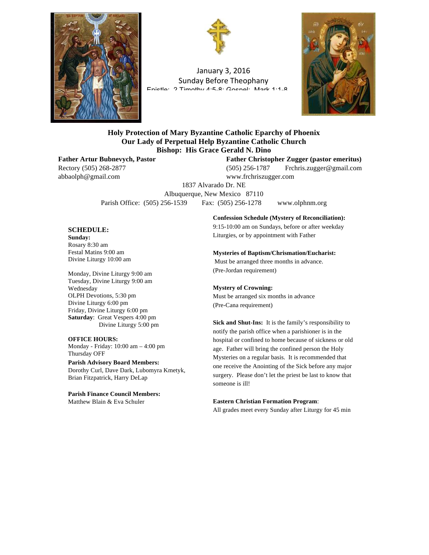



January 3, 2016 Sunday Before Theophany Enietle: 2 Timothy 1:5-8; Goenal: Mark 1:1-8



## **Holy Protection of Mary Byzantine Catholic Eparchy of Phoenix Our Lady of Perpetual Help Byzantine Catholic Church Bishop: His Grace Gerald N. Dino**

abbaolph@gmail.com www.frchriszugger.com

**Father Artur Bubnevych, Pastor Father Christopher Zugger (pastor emeritus)** Rectory (505) 268-2877 (505) 256-1787 Frchris.zugger@gmail.com

1837 Alvarado Dr. NE Albuquerque, New Mexico 87110 Parish Office: (505) 256-1539 Fax: (505) 256-1278 www.olphnm.org

#### **SCHEDULE:**

**Sunday:** Rosary 8:30 am Festal Matins 9:00 am Divine Liturgy 10:00 am

Monday, Divine Liturgy 9:00 am Tuesday, Divine Liturgy 9:00 am Wednesday OLPH Devotions, 5:30 pm Divine Liturgy 6:00 pm Friday, Divine Liturgy 6:00 pm **Saturday**: Great Vespers 4:00 pm Divine Liturgy 5:00 pm

#### **OFFICE HOURS:**

Monday - Friday: 10:00 am – 4:00 pm Thursday OFF

#### **Parish Advisory Board Members:**

Dorothy Curl, Dave Dark, Lubomyra Kmetyk, Brian Fitzpatrick, Harry DeLap

**Parish Finance Council Members:** Matthew Blain & Eva Schuler

**Confession Schedule (Mystery of Reconciliation):**

9:15-10:00 am on Sundays, before or after weekday Liturgies, or by appointment with Father

#### **Mysteries of Baptism/Chrismation/Eucharist:**

Must be arranged three months in advance. (Pre-Jordan requirement)

#### **Mystery of Crowning:**

Must be arranged six months in advance (Pre-Cana requirement)

**Sick and Shut-Ins:** It is the family's responsibility to notify the parish office when a parishioner is in the hospital or confined to home because of sickness or old age. Father will bring the confined person the Holy Mysteries on a regular basis. It is recommended that one receive the Anointing of the Sick before any major surgery. Please don't let the priest be last to know that someone is ill!

#### **Eastern Christian Formation Program**:

All grades meet every Sunday after Liturgy for 45 min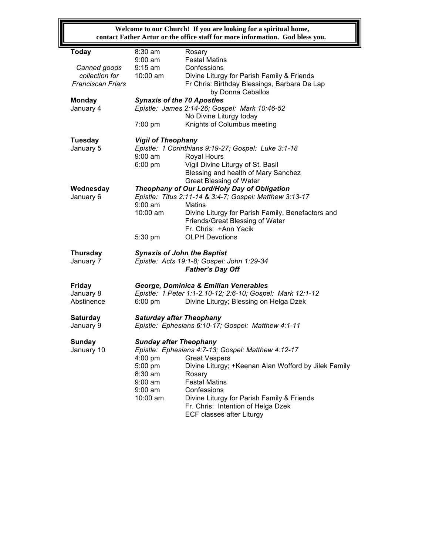**Welcome to our Church! If you are looking for a spiritual home, contact Father Artur or the office staff for more information. God bless you.**

| <b>Today</b>             | 8:30 am                                             | Rosary                                                     |  |  |
|--------------------------|-----------------------------------------------------|------------------------------------------------------------|--|--|
|                          | $9:00$ am                                           | <b>Festal Matins</b>                                       |  |  |
| Canned goods             | $9:15$ am                                           | Confessions                                                |  |  |
| collection for           | 10:00 am                                            | Divine Liturgy for Parish Family & Friends                 |  |  |
| <b>Franciscan Friars</b> |                                                     | Fr Chris: Birthday Blessings, Barbara De Lap               |  |  |
|                          |                                                     | by Donna Ceballos                                          |  |  |
| <b>Monday</b>            | <b>Synaxis of the 70 Apostles</b>                   |                                                            |  |  |
| January 4                |                                                     | Epistle: James 2:14-26; Gospel: Mark 10:46-52              |  |  |
|                          |                                                     | No Divine Liturgy today                                    |  |  |
|                          | 7:00 pm                                             | Knights of Columbus meeting                                |  |  |
|                          |                                                     |                                                            |  |  |
| <b>Tuesday</b>           | <b>Vigil of Theophany</b>                           |                                                            |  |  |
| January 5                | Epistle: 1 Corinthians 9:19-27; Gospel: Luke 3:1-18 |                                                            |  |  |
|                          | $9:00$ am                                           | Royal Hours                                                |  |  |
|                          |                                                     |                                                            |  |  |
|                          | $6:00$ pm                                           | Vigil Divine Liturgy of St. Basil                          |  |  |
|                          |                                                     | Blessing and health of Mary Sanchez                        |  |  |
|                          |                                                     | <b>Great Blessing of Water</b>                             |  |  |
| Wednesday                | Theophany of Our Lord/Holy Day of Obligation        |                                                            |  |  |
| January 6                |                                                     | Epistle: Titus 2:11-14 & 3:4-7; Gospel: Matthew 3:13-17    |  |  |
|                          | $9:00$ am                                           | Matins                                                     |  |  |
|                          | $10:00$ am                                          | Divine Liturgy for Parish Family, Benefactors and          |  |  |
|                          |                                                     | Friends/Great Blessing of Water                            |  |  |
|                          |                                                     | Fr. Chris: +Ann Yacik                                      |  |  |
|                          | 5:30 pm                                             | <b>OLPH Devotions</b>                                      |  |  |
| <b>Thursday</b>          | <b>Synaxis of John the Baptist</b>                  |                                                            |  |  |
| January 7                |                                                     | Epistle: Acts 19:1-8; Gospel: John 1:29-34                 |  |  |
|                          |                                                     | <b>Father's Day Off</b>                                    |  |  |
|                          |                                                     |                                                            |  |  |
| <b>Friday</b>            |                                                     | George, Dominica & Emilian Venerables                      |  |  |
| January 8                |                                                     | Epistle: 1 Peter 1:1-2.10-12; 2:6-10; Gospel: Mark 12:1-12 |  |  |
| Abstinence               | $6:00 \text{ pm}$                                   | Divine Liturgy; Blessing on Helga Dzek                     |  |  |
|                          |                                                     |                                                            |  |  |
| <b>Saturday</b>          | <b>Saturday after Theophany</b>                     |                                                            |  |  |
| January 9                |                                                     | Epistle: Ephesians 6:10-17; Gospel: Matthew 4:1-11         |  |  |
|                          |                                                     |                                                            |  |  |
| <b>Sunday</b>            | <b>Sunday after Theophany</b>                       |                                                            |  |  |
| January 10               | Epistle: Ephesians 4:7-13; Gospel: Matthew 4:12-17  |                                                            |  |  |
|                          |                                                     | 4:00 pm Great Vespers                                      |  |  |
|                          | 5:00 pm                                             | Divine Liturgy; +Keenan Alan Wofford by Jilek Family       |  |  |
|                          | 8:30 am                                             | Rosary                                                     |  |  |
|                          | $9:00$ am                                           | <b>Festal Matins</b>                                       |  |  |
|                          | $9:00 \text{ am}$                                   | Confessions                                                |  |  |
|                          | $10:00$ am                                          | Divine Liturgy for Parish Family & Friends                 |  |  |
|                          |                                                     | Fr. Chris: Intention of Helga Dzek                         |  |  |
|                          |                                                     |                                                            |  |  |
|                          |                                                     | ECF classes after Liturgy                                  |  |  |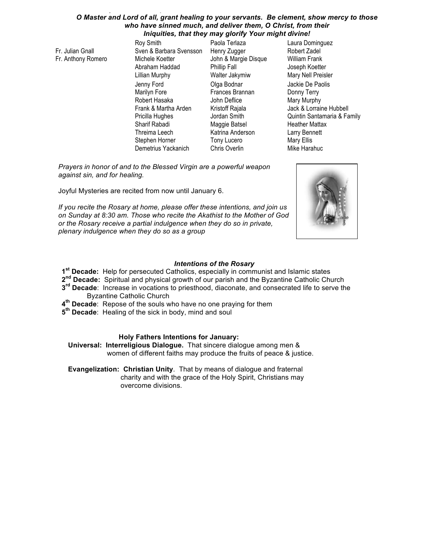#### *O Master and Lord of all, grant healing to your servants. Be clement, show mercy to those who have sinned much, and deliver them, O Christ, from their Iniquities, that they may glorify Your might divine!*

*Physician and Help of those in sickness, Redeemer and Savior of the infirm;*

Fr. Julian Gnall Fr. Anthony Romero

Roy Smith Sven & Barbara Svensson Michele Koetter Abraham Haddad Lillian Murphy Jenny Ford Marilyn Fore Robert Hasaka Frank & Martha Arden Pricilla Hughes Sharif Rabadi Threima Leech Stephen Horner Demetrius Yackanich

Paola Terlaza Henry Zugger John & Margie Disque Phillip Fall Walter Jakymiw Olga Bodnar Frances Brannan John Deflice Kristoff Rajala Jordan Smith Maggie Batsel Katrina Anderson Tony Lucero Chris Overlin

Laura Dominguez Robert Zadel William Frank Joseph Koetter Mary Nell Preisler Jackie De Paolis Donny Terry Mary Murphy Jack & Lorraine Hubbell Quintin Santamaria & Family Heather Mattax Larry Bennett Mary Ellis Mike Harahuc

*Prayers in honor of and to the Blessed Virgin are a powerful weapon against sin, and for healing.* 

Joyful Mysteries are recited from now until January 6.

*If you recite the Rosary at home, please offer these intentions, and join us on Sunday at 8:30 am. Those who recite the Akathist to the Mother of God or the Rosary receive a partial indulgence when they do so in private, plenary indulgence when they do so as a group*



## *Intentions of the Rosary*

**1st Decade:** Help for persecuted Catholics, especially in communist and Islamic states

**2nd Decade:** Spiritual and physical growth of our parish and the Byzantine Catholic Church

- **3rd Decade**: Increase in vocations to priesthood, diaconate, and consecrated life to serve the Byzantine Catholic Church
- **4th Decade**: Repose of the souls who have no one praying for them
- **5th Decade**: Healing of the sick in body, mind and soul

## **Holy Fathers Intentions for January:**

**Universal: Interreligious Dialogue.** That sincere dialogue among men & women of different faiths may produce the fruits of peace & justice.

**Evangelization: Christian Unity**. That by means of dialogue and fraternal charity and with the grace of the Holy Spirit, Christians may overcome divisions.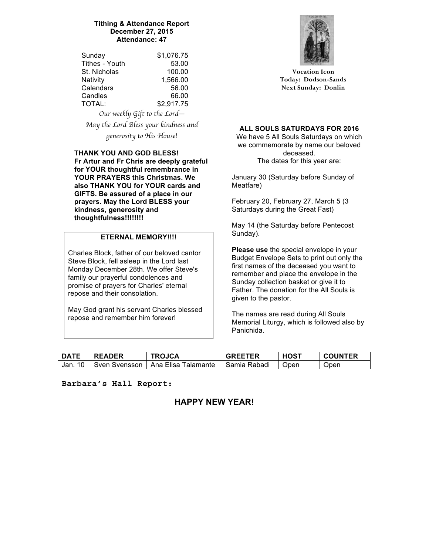## **Tithing & Attendance Report December 27, 2015 Attendance: 47**

| Sunday                       | \$1,076.75 |  |  |
|------------------------------|------------|--|--|
| Tithes - Youth               | 53.00      |  |  |
| St. Nicholas                 | 100.00     |  |  |
| Nativity                     | 1,566.00   |  |  |
| Calendars                    | 56.00      |  |  |
| Candles                      | 66.00      |  |  |
| TOTAL:                       | \$2,917.75 |  |  |
| Our weekly Gift to the Lord– |            |  |  |

*May the Lord Bless your kindness and generosity to His House!*

### **THANK YOU AND GOD BLESS! Fr Artur and Fr Chris are deeply grateful for YOUR thoughtful remembrance in YOUR PRAYERS this Christmas. We also THANK YOU for YOUR cards and GIFTS. Be assured of a place in our prayers. May the Lord BLESS your kindness, generosity and thoughtfulness!!!!!!!!**

## **ETERNAL MEMORY!!!!**

Charles Block, father of our beloved cantor Steve Block, fell asleep in the Lord last Monday December 28th. We offer Steve's family our prayerful condolences and promise of prayers for Charles' eternal repose and their consolation.

May God grant his servant Charles blessed repose and remember him forever!



**Vocation Icon Today: Dodson-Sands Next Sunday: Donlin**

**ALL SOULS SATURDAYS FOR 2016**

We have 5 All Souls Saturdays on which we commemorate by name our beloved deceased. The dates for this year are:

January 30 (Saturday before Sunday of Meatfare)

February 20, February 27, March 5 (3 Saturdays during the Great Fast)

May 14 (the Saturday before Pentecost Sunday).

**Please use** the special envelope in your Budget Envelope Sets to print out only the first names of the deceased you want to remember and place the envelope in the Sunday collection basket or give it to Father. The donation for the All Souls is given to the pastor.

The names are read during All Souls Memorial Liturgy, which is followed also by Panichida.

| <b>DATE</b> | <b>READER</b>   | TROJCA              | <b>GREETER</b> | <b>HOST</b> | <b>COUNTER</b> |
|-------------|-----------------|---------------------|----------------|-------------|----------------|
| Jan. 10     | ⊟ Sven Svensson | Ana Elisa Talamante | -Samia Rabadi  | <b>Open</b> | Open           |

**Barbara's Hall Report:**

# **HAPPY NEW YEAR!**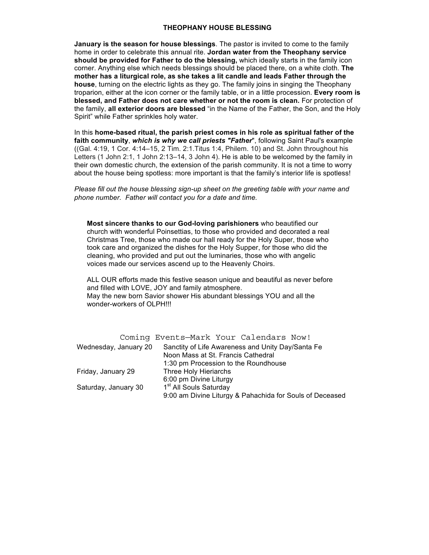#### **THEOPHANY HOUSE BLESSING**

**January is the season for house blessings**. The pastor is invited to come to the family home in order to celebrate this annual rite. **Jordan water from the Theophany service should be provided for Father to do the blessing,** which ideally starts in the family icon corner. Anything else which needs blessings should be placed there, on a white cloth. **The mother has a liturgical role, as she takes a lit candle and leads Father through the house**, turning on the electric lights as they go. The family joins in singing the Theophany troparion, either at the icon corner or the family table, or in a little procession. **Every room is blessed, and Father does not care whether or not the room is clean.** For protection of the family, **all exterior doors are blessed** "in the Name of the Father, the Son, and the Holy Spirit" while Father sprinkles holy water.

In this **home-based ritual, the parish priest comes in his role as spiritual father of the faith community**, *which is why we call priests "Father*", following Saint Paul's example ((Gal. 4:19, 1 Cor. 4:14–15, 2 Tim. 2:1.Titus 1:4, Philem. 10) and St. John throughout his Letters (1 John 2:1, 1 John 2:13–14, 3 John 4). He is able to be welcomed by the family in their own domestic church, the extension of the parish community. It is not a time to worry about the house being spotless: more important is that the family's interior life is spotless!

*Please fill out the house blessing sign-up sheet on the greeting table with your name and phone number. Father will contact you for a date and time.*

**Most sincere thanks to our God-loving parishioners** who beautified our church with wonderful Poinsettias, to those who provided and decorated a real Christmas Tree, those who made our hall ready for the Holy Super, those who took care and organized the dishes for the Holy Supper, for those who did the cleaning, who provided and put out the luminaries, those who with angelic voices made our services ascend up to the Heavenly Choirs.

ALL OUR efforts made this festive season unique and beautiful as never before and filled with LOVE, JOY and family atmosphere. May the new born Savior shower His abundant blessings YOU and all the wonder-workers of OLPH!!!

|                       | Coming Events-Mark Your Calendars Now!                   |
|-----------------------|----------------------------------------------------------|
| Wednesday, January 20 | Sanctity of Life Awareness and Unity Day/Santa Fe        |
|                       | Noon Mass at St. Francis Cathedral                       |
|                       | 1:30 pm Procession to the Roundhouse                     |
| Friday, January 29    | Three Holy Hieriarchs                                    |
|                       | 6:00 pm Divine Liturgy                                   |
| Saturday, January 30  | 1 <sup>st</sup> All Souls Saturday                       |
|                       | 9:00 am Divine Liturgy & Pahachida for Souls of Deceased |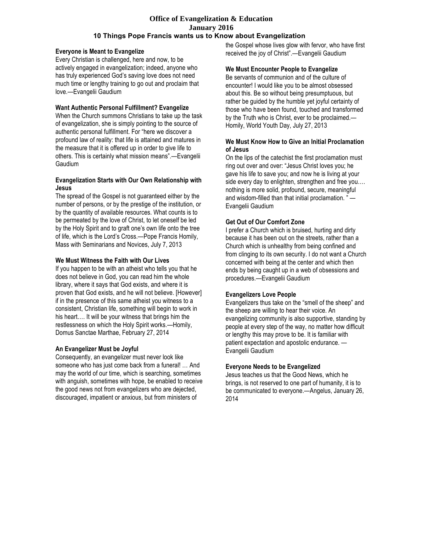#### **Office of Evangelization & Education January 2016 10 Things Pope Francis wants us to Know about Evangelization**

#### **Everyone is Meant to Evangelize**

Every Christian is challenged, here and now, to be actively engaged in evangelization; indeed, anyone who has truly experienced God's saving love does not need much time or lengthy training to go out and proclaim that love.—Evangelii Gaudium

#### **Want Authentic Personal Fulfillment? Evangelize**

When the Church summons Christians to take up the task of evangelization, she is simply pointing to the source of authentic personal fulfillment. For "here we discover a profound law of reality: that life is attained and matures in the measure that it is offered up in order to give life to others. This is certainly what mission means".—Evangelii Gaudium

### **Evangelization Starts with Our Own Relationship with Jesus**

The spread of the Gospel is not guaranteed either by the number of persons, or by the prestige of the institution, or by the quantity of available resources. What counts is to be permeated by the love of Christ, to let oneself be led by the Holy Spirit and to graft one's own life onto the tree of life, which is the Lord's Cross.—Pope Francis Homily, Mass with Seminarians and Novices, July 7, 2013

### **We Must Witness the Faith with Our Lives**

If you happen to be with an atheist who tells you that he does not believe in God, you can read him the whole library, where it says that God exists, and where it is proven that God exists, and he will not believe. [However] if in the presence of this same atheist you witness to a consistent, Christian life, something will begin to work in his heart…. It will be your witness that brings him the restlessness on which the Holy Spirit works.—Homily, Domus Sanctae Marthae, February 27, 2014

### **An Evangelizer Must be Joyful**

Consequently, an evangelizer must never look like someone who has just come back from a funeral! … And may the world of our time, which is searching, sometimes with anguish, sometimes with hope, be enabled to receive the good news not from evangelizers who are dejected, discouraged, impatient or anxious, but from ministers of

the Gospel whose lives glow with fervor, who have first received the joy of Christ".—Evangelii Gaudium

#### **We Must Encounter People to Evangelize**

Be servants of communion and of the culture of encounter! I would like you to be almost obsessed about this. Be so without being presumptuous, but rather be guided by the humble yet joyful certainty of those who have been found, touched and transformed by the Truth who is Christ, ever to be proclaimed.— Homily, World Youth Day, July 27, 2013

#### **We Must Know How to Give an Initial Proclamation of Jesus**

On the lips of the catechist the first proclamation must ring out over and over: "Jesus Christ loves you; he gave his life to save you; and now he is living at your side every day to enlighten, strengthen and free you…. nothing is more solid, profound, secure, meaningful and wisdom-filled than that initial proclamation. " — Evangelii Gaudium

### **Get Out of Our Comfort Zone**

I prefer a Church which is bruised, hurting and dirty because it has been out on the streets, rather than a Church which is unhealthy from being confined and from clinging to its own security. I do not want a Church concerned with being at the center and which then ends by being caught up in a web of obsessions and procedures.—Evangelii Gaudium

### **Evangelizers Love People**

Evangelizers thus take on the "smell of the sheep" and the sheep are willing to hear their voice. An evangelizing community is also supportive, standing by people at every step of the way, no matter how difficult or lengthy this may prove to be. It is familiar with patient expectation and apostolic endurance. — Evangelii Gaudium

### **Everyone Needs to be Evangelized**

Jesus teaches us that the Good News, which he brings, is not reserved to one part of humanity, it is to be communicated to everyone.—Angelus, January 26, 2014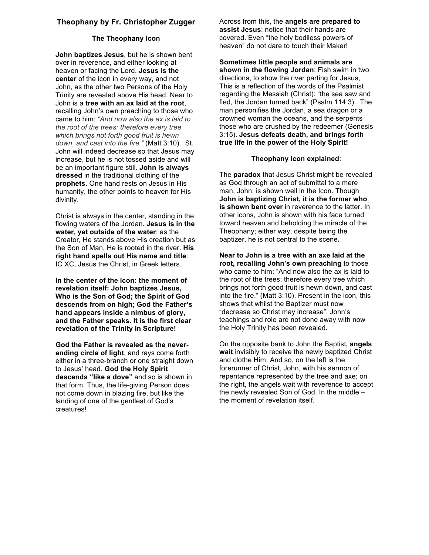## **Theophany by Fr. Christopher Zugger**

#### **The Theophany Icon**

**John baptizes Jesus**, but he is shown bent over in reverence, and either looking at heaven or facing the Lord. **Jesus is the center** of the icon in every way, and not John, as the other two Persons of the Holy Trinity are revealed above His head. Near to John is a **tree with an ax laid at the root**, recalling John's own preaching to those who came to him: *"And now also the ax is laid to the root of the trees: therefore every tree which brings not forth good fruit is hewn down, and cast into the fire."* (Matt 3:10). St. John will indeed decrease so that Jesus may increase, but he is not tossed aside and will be an important figure still. **John is always dressed** in the traditional clothing of the **prophets**. One hand rests on Jesus in His humanity, the other points to heaven for His divinity.

 the Son of Man, He is rooted in the river. **His**  Christ is always in the center, standing in the flowing waters of the Jordan. **Jesus is in the water, yet outside of the water**: as the Creator, He stands above His creation but as **right hand spells out His name and title**: IC XC, Jesus the Christ, in Greek letters.

**In the center of the icon: the moment of revelation itself: John baptizes Jesus, Who is the Son of God; the Spirit of God descends from on high; God the Father's hand appears inside a nimbus of glory, and the Father speaks. It is the first clear revelation of the Trinity in Scripture!** 

**God the Father is revealed as the neverending circle of light**, and rays come forth either in a three-branch or one straight down to Jesus' head. **God the Holy Spirit descends "like a dove"** and so is shown in that form. Thus, the life-giving Person does not come down in blazing fire, but like the landing of one of the gentlest of God's creatures!

Across from this, the **angels are prepared to assist Jesus**: notice that their hands are covered. Even "the holy bodiless powers of heaven" do not dare to touch their Maker!

**Sometimes little people and animals are shown in the flowing Jordan**: Fish swim in two directions, to show the river parting for Jesus, This is a reflection of the words of the Psalmist regarding the Messiah (Christ): "the sea saw and fled, the Jordan turned back" (Psalm 114:3).. The man personifies the Jordan, a sea dragon or a crowned woman the oceans, and the serpents those who are crushed by the redeemer (Genesis 3:15). **Jesus defeats death, and brings forth true life in the power of the Holy Spirit!**

#### **Theophany icon explained**:

The **paradox** that Jesus Christ might be revealed as God through an act of submittal to a mere man, John, is shown well in the Icon. Though **John is baptizing Christ, it is the former who is shown bent over** in reverence to the latter. In other icons, John is shown with his face turned toward heaven and beholding the miracle of the Theophany; either way, despite being the baptizer, he is not central to the scene**.** 

**Near to John is a tree with an axe laid at the root, recalling John's own preaching** to those who came to him: "And now also the ax is laid to the root of the trees: therefore every tree which brings not forth good fruit is hewn down, and cast into the fire." (Matt 3:10). Present in the icon, this shows that whilst the Baptizer must now "decrease so Christ may increase", John's teachings and role are not done away with now the Holy Trinity has been revealed.

On the opposite bank to John the Baptist**, angels wait** invisibly to receive the newly baptized Christ and clothe Him. And so, on the left is the forerunner of Christ, John, with his sermon of repentance represented by the tree and axe; on the right, the angels wait with reverence to accept the newly revealed Son of God. In the middle – the moment of revelation itself.